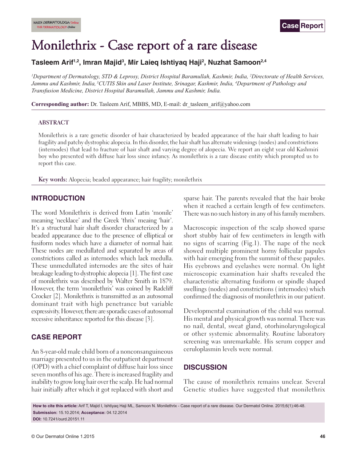# Monilethrix - Case report of a rare disease

# **Tasleem Arif1,2, Imran Majid3 , Mir Laieq Ishtiyaq Haji2 , Nuzhat Samoon2,4**

*1 Department of Dermatology, STD & Leprosy, District Hospital Baramullah, Kashmir, India, 2 Directorate of Health Services, Jammu and Kashmir, India, 3CUTIS Skin and Laser Institute, Srinagar, Kashmir, India, 4 Department of Pathology and Transfusion Medicine, District Hospital Baramullah, Jammu and Kashmir, India.*

**Corresponding author:** Dr. Tasleem Arif, MBBS, MD, E-mail: dr\_tasleem\_arif@yahoo.com

#### **ABSTRACT**

Monilethrix is a rare genetic disorder of hair characterized by beaded appearance of the hair shaft leading to hair fragility and patchy dystrophic alopecia. In this disorder, the hair shaft has alternate widenings (nodes) and constrictions (internodes) that lead to fracture of hair shaft and varying degree of alopecia. We report an eight year old Kashmiri boy who presented with diffuse hair loss since infancy. As monilethrix is a rare disease entity which prompted us to report this case.

**Key words:** Alopecia; beaded appearance; hair fragility; monilethrix

### **INTRODUCTION**

The word Monilethrix is derived from Latin 'monile' meaning 'necklace' and the Greek 'thrix' meaing 'hair'. It's a structural hair shaft disorder characterized by a beaded appearance due to the presence of elliptical or fusiform nodes which have a diameter of normal hair. These nodes are medullated and separated by areas of constrictions called as internodes which lack medulla. These unmedullated internodes are the sites of hair breakage leading to dystrophic alopecia [1]. The first case of monilethrix was described by Walter Smith in 1879. However, the term 'monilethrix' was coined by Radcliff Crocker [2]. Monilethrix is transmitted as an autosomal dominant trait with high penetrance but variable expressivity. However, there are sporadic cases of autosomal recessive inheritance reported for this disease [3].

# **CASE REPORT**

An 8-year-old male child born of a nonconsanguineous marriage presented to us in the outpatient department (OPD) with a chief complaint of diffuse hair loss since seven months of his age. There is increased fragility and inability to grow long hair over the scalp. He had normal hair initially after which it got replaced with short and sparse hair. The parents revealed that the hair broke when it reached a certain length of few centimeters. There was no such history in any of his family members.

Macroscopic inspection of the scalp showed sparse short stubby hair of few centimeters in length with no signs of scarring (Fig.1). The nape of the neck showed multiple prominent horny follicular papules with hair emerging from the summit of these papules. His eyebrows and eyelashes were normal. On light microscopic examination hair shafts revealed the characteristic alternating fusiform or spindle shaped swellings (nodes) and constrictions ( internodes) which confirmed the diagnosis of monilethrix in our patient.

Developmental examination of the child was normal. His mental and physical growth was normal. There was no nail, dental, sweat gland, otorhinolaryngological or other systemic abnormality. Routine laboratory screening was unremarkable. His serum copper and ceruloplasmin levels were normal.

# **DISCUSSION**

The cause of monilethrix remains unclear. Several Genetic studies have suggested that monilethrix

**How to cite this article:** Arif T, Majid I, Ishtiyaq Haji ML, Samoon N. Monilethrix - Case report of a rare disease. Our Dermatol Online. 2015;6(1):46-48. **Submission:** 15.10.2014; **Acceptance:** 04.12.2014 **DOI:** 10.7241/ourd.20151.11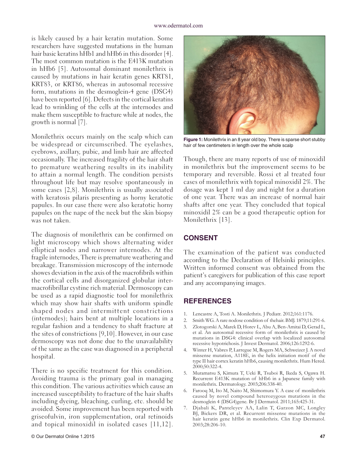#### www.odermatol.com

is likely caused by a hair keratin mutation. Some researchers have suggested mutations in the human hair basic keratins hHb1 and hHb6 in this disorder [4]. The most common mutation is the E413K mutation in hHb6 [5]. Autosomal dominant monilethrix is caused by mutations in hair keratin genes KRT81, KRT83, or KRT86, whereas in autosomal recessive form, mutations in the desmoglein-4 gene (DSG4) have been reported [6]. Defects in the cortical keratins lead to wrinkling of the cells at the internodes and make them susceptible to fracture while at nodes, the growth is normal [7].

Monilethrix occurs mainly on the scalp which can be widespread or circumscribed. The eyelashes, eyebrows, axillary, pubic, and limb hair are affected occasionally. The increased fragility of the hair shaft to premature weathering results in its inability to attain a normal length. The condition persists throughout life but may resolve spontaneously in some cases [2,8]. Monilethrix is usually associated with keratosis pilaris presenting as horny keratotic papules. In our case there were also keratotic horny papules on the nape of the neck but the skin biopsy was not taken.

The diagnosis of monilethrix can be confirmed on light microscopy which shows alternating wider elliptical nodes and narrower internodes. At the fragile internodes, There is premature weathering and breakage. Transmission microscopy of the internode showes deviation in the axis of the macrofibrils within the cortical cells and disorganized globular intermacrofibrillar cystine rich material. Dermoscopy can be used as a rapid diagnostic tool for monilethrix which may show hair shafts with uniform spindle shaped nodes and intermittent constrictions (internodes); hairs bent at multiple locations in a regular fashion and a tendency to shaft fracture at the sites of constrictions [9,10]. However, in our case dermoscopy was not done due to the unavailability of the same as the case was diagnosed in a peripheral hospital.

There is no specific treatment for this condition. Avoiding trauma is the primary goal in managing this condition. The various activities which cause an increased susceptibility to fracture of the hair shafts including dyeing, bleaching, curling, etc. should be avoided. Some improvement has been reported with griseofulvin, iron supplementation, oral retinoids and topical minoxidil in isolated cases [11,12].



**Figure 1:** Monilethrix in an 8 year old boy. There is sparse short stubby hair of few centimeters in length over the whole scalp

Though, there are many reports of use of minoxidil in monilethrix but the improvement seems to be temporary and reversible. Rossi et al treated four cases of monilethrix with topical minoxidil 2%. The dosage was kept 1 ml day and night for a duration of one year. There was an increase of normal hair shafts after one year. They concluded that topical minoxidil 2% can be a good therapeutic option for Monilethrix [13].

## **CONSENT**

The examination of the patient was conducted according to the Declaration of Helsinki principles. Written informed consent was obtained from the patient's caregivers for publication of this case report and any accompanying images.

#### **REFERENCES**

- 1. Lencastre A, Tosti A. Monilethrix. J Pediatr. 2012;161:1176.
- 2. Smith WG. Arare nodose condition of thehair. BMJ. 1879;11:291-6.
- 3. Zlotogorski A, Marek D, Horev L, Abu A, Ben-Amitai D, Gerad L, et al. An autosomal recessive form of monilethrix is caused by mutations in DSG4: clinical overlap with localized autosomal recessive hypotrichosis. J Invest Dermatol. 2006;126:1292-6.
- 4. Winter H, Vabres P, Larregue M, Rogers MA, Schweizer J. A novel missense mutation, A118E, in the helix initiation motif of the type II hair cortex keratin hHb6, causing monilethrix. Hum Hered. 2000;50:322-4.
- 5. Muramatsu S, Kimura T, Ueki R, Tsuboi R, Ikeda S, Ogawa H. Recurrent E413K mutation of hHb6 in a Japanese family with monilethrix. Dermatology. 2003;206:338-40.
- 6. Farooq M, Ito M, Naito M, Shimomura Y. A case of monilethrix caused by novel compound heterozygous mutations in the desmoglein 4 (DSG4)gene. Br J Dermatol. 2011;165:425-31.
- 7. Djabali K, Panteleyev AA, Lalin T, Garzon MC, Longley BJ, Bickers DR, et al. Recurrent missense mutations in the hair keratin gene hHb6 in monilethrix. Clin Exp Dermatol. 2003;28:206-10.